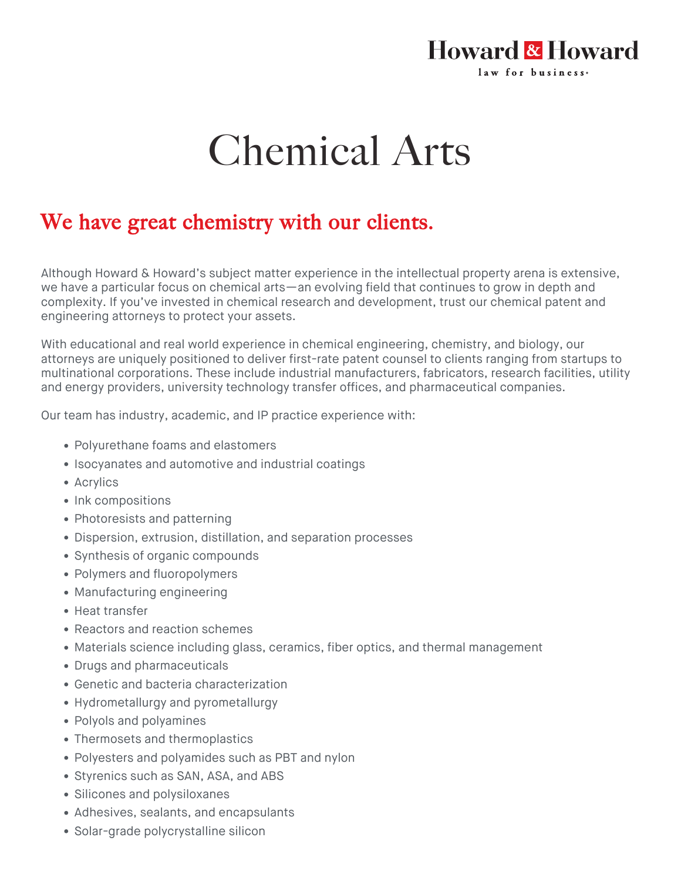## Howard & Howard law for business.

## Chemical Arts

## We have great chemistry with our clients.

Although Howard & Howard's subject matter experience in the intellectual property arena is extensive, we have a particular focus on chemical arts—an evolving field that continues to grow in depth and complexity. If you've invested in chemical research and development, trust our chemical patent and engineering attorneys to protect your assets.

With educational and real world experience in chemical engineering, chemistry, and biology, our attorneys are uniquely positioned to deliver first-rate patent counsel to clients ranging from startups to multinational corporations. These include industrial manufacturers, fabricators, research facilities, utility and energy providers, university technology transfer offices, and pharmaceutical companies.

Our team has industry, academic, and IP practice experience with:

- Polyurethane foams and elastomers
- Isocyanates and automotive and industrial coatings
- Acrylics
- Ink compositions
- Photoresists and patterning
- Dispersion, extrusion, distillation, and separation processes
- Synthesis of organic compounds
- Polymers and fluoropolymers
- Manufacturing engineering
- Heat transfer
- Reactors and reaction schemes
- Materials science including glass, ceramics, fiber optics, and thermal management
- Drugs and pharmaceuticals
- Genetic and bacteria characterization
- Hydrometallurgy and pyrometallurgy
- Polyols and polyamines
- Thermosets and thermoplastics
- Polyesters and polyamides such as PBT and nylon
- Styrenics such as SAN, ASA, and ABS
- Silicones and polysiloxanes
- Adhesives, sealants, and encapsulants
- Solar-grade polycrystalline silicon